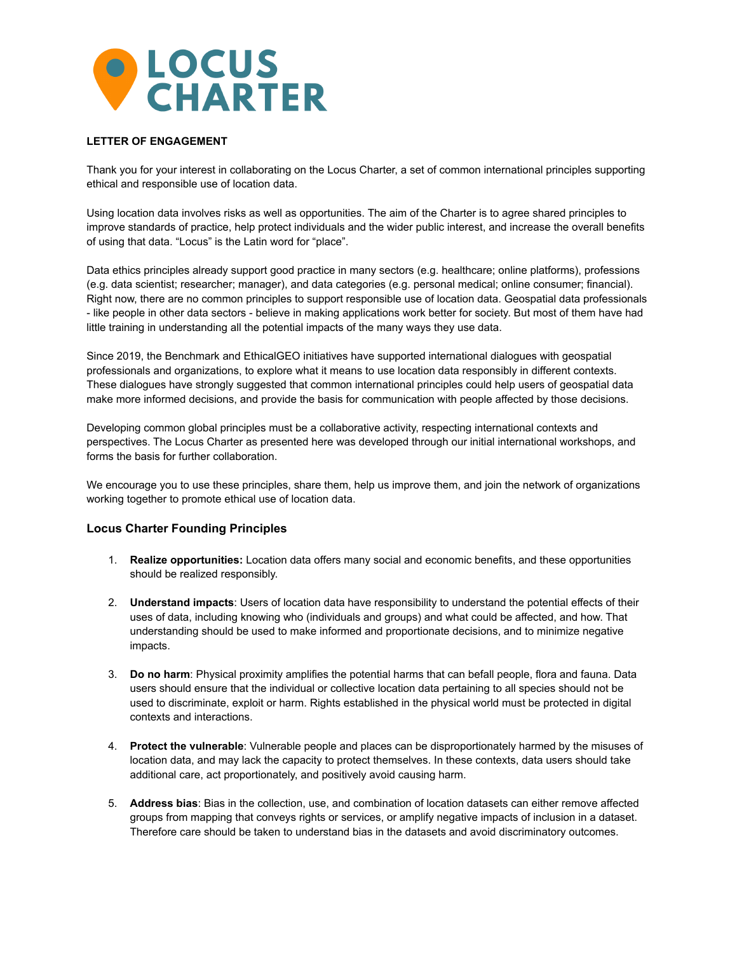

## **LETTER OF ENGAGEMENT**

Thank you for your interest in collaborating on the Locus Charter, a set of common international principles supporting ethical and responsible use of location data.

Using location data involves risks as well as opportunities. The aim of the Charter is to agree shared principles to improve standards of practice, help protect individuals and the wider public interest, and increase the overall benefits of using that data. "Locus" is the Latin word for "place".

Data ethics principles already support good practice in many sectors (e.g. healthcare; online platforms), professions (e.g. data scientist; researcher; manager), and data categories (e.g. personal medical; online consumer; financial). Right now, there are no common principles to support responsible use of location data. Geospatial data professionals - like people in other data sectors - believe in making applications work better for society. But most of them have had little training in understanding all the potential impacts of the many ways they use data.

Since 2019, the Benchmark and EthicalGEO initiatives have supported international dialogues with geospatial professionals and organizations, to explore what it means to use location data responsibly in different contexts. These dialogues have strongly suggested that common international principles could help users of geospatial data make more informed decisions, and provide the basis for communication with people affected by those decisions.

Developing common global principles must be a collaborative activity, respecting international contexts and perspectives. The Locus Charter as presented here was developed through our initial international workshops, and forms the basis for further collaboration.

We encourage you to use these principles, share them, help us improve them, and join the network of organizations working together to promote ethical use of location data.

### **Locus Charter Founding Principles**

- 1. **Realize opportunities:** Location data offers many social and economic benefits, and these opportunities should be realized responsibly.
- 2. **Understand impacts**: Users of location data have responsibility to understand the potential effects of their uses of data, including knowing who (individuals and groups) and what could be affected, and how. That understanding should be used to make informed and proportionate decisions, and to minimize negative impacts.
- 3. **Do no harm**: Physical proximity amplifies the potential harms that can befall people, flora and fauna. Data users should ensure that the individual or collective location data pertaining to all species should not be used to discriminate, exploit or harm. Rights established in the physical world must be protected in digital contexts and interactions.
- 4. **Protect the vulnerable**: Vulnerable people and places can be disproportionately harmed by the misuses of location data, and may lack the capacity to protect themselves. In these contexts, data users should take additional care, act proportionately, and positively avoid causing harm.
- 5. **Address bias**: Bias in the collection, use, and combination of location datasets can either remove affected groups from mapping that conveys rights or services, or amplify negative impacts of inclusion in a dataset. Therefore care should be taken to understand bias in the datasets and avoid discriminatory outcomes.